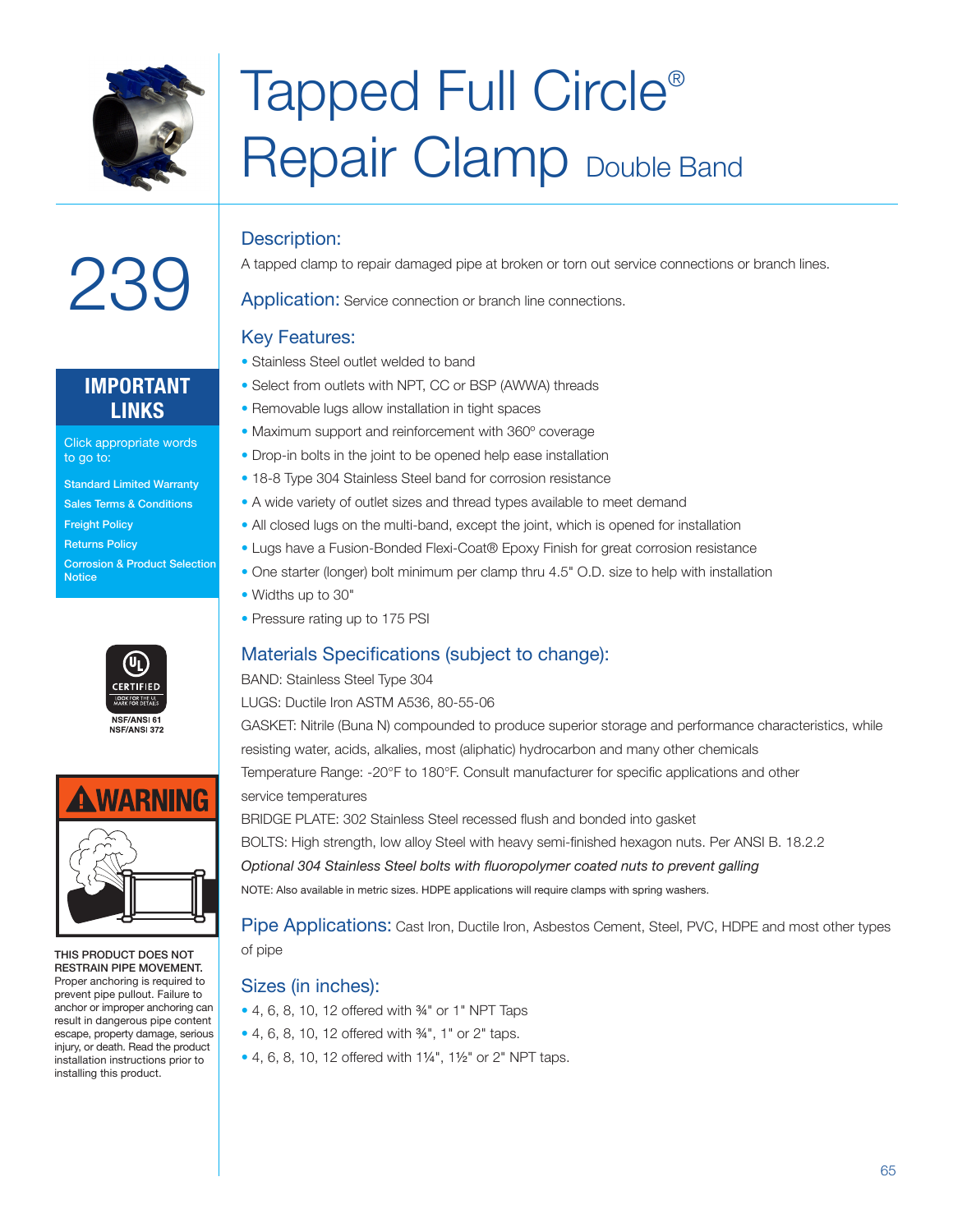

### Tapped Full Circle® Repair Clamp Double Band

### Description:

A tapped clamp to repair damaged pipe at broken or torn out service connections or branch lines.

Application: Service connection or branch line connections.

### Key Features:

- Stainless Steel outlet welded to band
- Select from outlets with NPT, CC or BSP (AWWA) threads
- Removable lugs allow installation in tight spaces
- Maximum support and reinforcement with 360º coverage
- Drop-in bolts in the joint to be opened help ease installation
- 18-8 Type 304 Stainless Steel band for corrosion resistance
- A wide variety of outlet sizes and thread types available to meet demand
- All closed lugs on the multi-band, except the joint, which is opened for installation
- Lugs have a Fusion-Bonded Flexi-Coat® Epoxy Finish for great corrosion resistance
- One starter (longer) bolt minimum per clamp thru 4.5" O.D. size to help with installation
- Widths up to 30"
- Pressure rating up to 175 PSI

### Materials Specifications (subject to change):

BAND: Stainless Steel Type 304

LUGS: Ductile Iron ASTM A536, 80-55-06

GASKET: Nitrile (Buna N) compounded to produce superior storage and performance characteristics, while resisting water, acids, alkalies, most (aliphatic) hydrocarbon and many other chemicals Temperature Range: -20°F to 180°F. Consult manufacturer for specific applications and other service temperatures BRIDGE PLATE: 302 Stainless Steel recessed flush and bonded into gasket

BOLTS: High strength, low alloy Steel with heavy semi-finished hexagon nuts. Per ANSI B. 18.2.2 *Optional 304 Stainless Steel bolts with fluoropolymer coated nuts to prevent galling* NOTE: Also available in metric sizes. HDPE applications will require clamps with spring washers.

Pipe Applications: Cast Iron, Ductile Iron, Asbestos Cement, Steel, PVC, HDPE and most other types of pipe

### Sizes (in inches):

- 4, 6, 8, 10, 12 offered with ¾" or 1" NPT Taps
- 4, 6, 8, 10, 12 offered with 3/4", 1" or 2" taps.
- 4, 6, 8, 10, 12 offered with 1¼", 1½" or 2" NPT taps.

# 239

### **IMPORTANT LINKS**

Click appropriate words to go to:

- Standard Limited Warranty
- Sales Terms & Conditions
- **Freight Policy**
- Returns Policy
- Corrosion & Product Selection **Notice**





THIS PRODUCT DOES NOT RESTRAIN PIPE MOVEMENT. Proper anchoring is required to prevent pipe pullout. Failure to anchor or improper anchoring can result in dangerous pipe content escape, property damage, serious injury, or death. Read the product installation instructions prior to installing this product.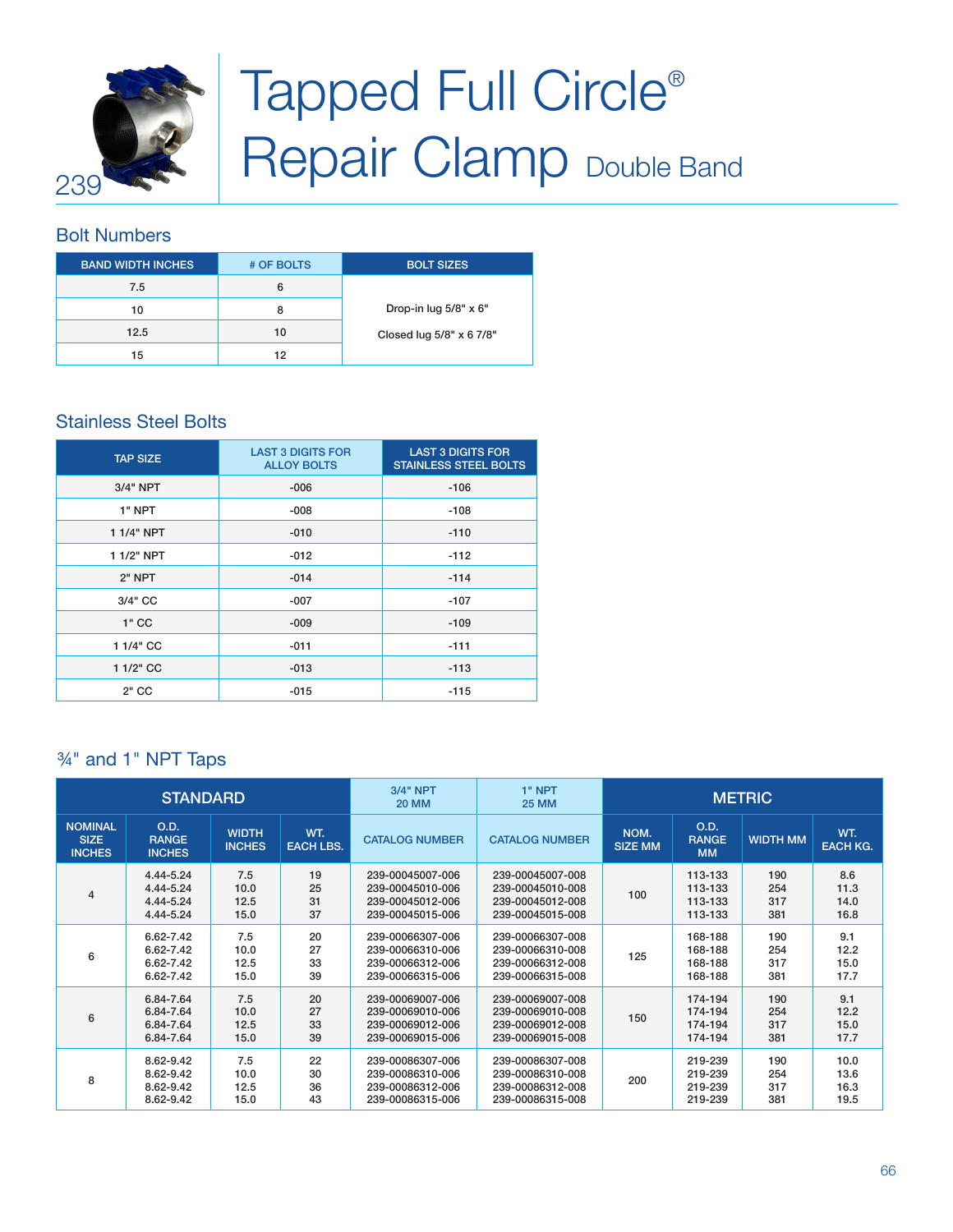

## Tapped Full Circle<sup>®</sup> **Repair Clamp Double Band**

### Bolt Numbers

| <b>BAND WIDTH INCHES.</b> | # OF BOLTS | <b>BOLT SIZES</b>        |
|---------------------------|------------|--------------------------|
| 7.5                       | 6          |                          |
| 10                        | 8          | Drop-in lug 5/8" x 6"    |
| 12.5                      | 10         | Closed lug 5/8" x 6 7/8" |
| 15                        | 12         |                          |

### Stainless Steel Bolts

| <b>TAP SIZE</b> | <b>LAST 3 DIGITS FOR</b><br><b>ALLOY BOLTS</b> | <b>LAST 3 DIGITS FOR</b><br><b>STAINLESS STEEL BOLTS</b> |
|-----------------|------------------------------------------------|----------------------------------------------------------|
| $3/4"$ NPT      | $-006$                                         | $-106$                                                   |
| 1" NPT          | $-008$                                         | $-108$                                                   |
| 1 1/4" NPT      | $-010$                                         | $-110$                                                   |
| 1 1/2" NPT      | $-012$                                         | $-112$                                                   |
| 2" NPT          | $-014$                                         | $-114$                                                   |
| 3/4" CC         | $-007$                                         | $-107$                                                   |
| $1"$ CC         | $-009$                                         | $-109$                                                   |
| 1 1/4" CC       | $-011$                                         | $-111$                                                   |
| 1 1/2" CC       | $-013$                                         | $-113$                                                   |
| $2"$ CC         | $-015$                                         | $-115$                                                   |

### ¾" and 1" NPT Taps

|                                                                                                                                                     | <b>STANDARD</b>                                  |                             |                       | <b>3/4" NPT</b><br><b>20 MM</b>                                                | $1"$ NPT<br><b>25 MM</b>                                                     | <b>METRIC</b>          |                                          |                          |                              |
|-----------------------------------------------------------------------------------------------------------------------------------------------------|--------------------------------------------------|-----------------------------|-----------------------|--------------------------------------------------------------------------------|------------------------------------------------------------------------------|------------------------|------------------------------------------|--------------------------|------------------------------|
| <b>NOMINAL</b><br>O.D.<br><b>WIDTH</b><br>WT.<br><b>SIZE</b><br><b>RANGE</b><br><b>INCHES</b><br><b>EACH LBS.</b><br><b>INCHES</b><br><b>INCHES</b> |                                                  | <b>CATALOG NUMBER</b>       | <b>CATALOG NUMBER</b> | O.D.<br>NOM.<br><b>RANGE</b><br><b>WIDTH MM</b><br><b>SIZE MM</b><br><b>MM</b> |                                                                              | WT.<br><b>EACH KG.</b> |                                          |                          |                              |
| $\overline{4}$                                                                                                                                      | 4.44-5.24<br>4.44-5.24<br>4.44-5.24<br>4.44-5.24 | 7.5<br>10.0<br>12.5<br>15.0 | 19<br>25<br>31<br>37  | 239-00045007-006<br>239-00045010-006<br>239-00045012-006<br>239-00045015-006   | 239-00045007-008<br>239-00045010-008<br>239-00045012-008<br>239-00045015-008 | 100                    | 113-133<br>113-133<br>113-133<br>113-133 | 190<br>254<br>317<br>381 | 8.6<br>11.3<br>14.0<br>16.8  |
| 6                                                                                                                                                   | 6.62-7.42<br>6.62-7.42<br>6.62-7.42<br>6.62-7.42 | 7.5<br>10.0<br>12.5<br>15.0 | 20<br>27<br>33<br>39  | 239-00066307-006<br>239-00066310-006<br>239-00066312-006<br>239-00066315-006   | 239-00066307-008<br>239-00066310-008<br>239-00066312-008<br>239-00066315-008 | 125                    | 168-188<br>168-188<br>168-188<br>168-188 | 190<br>254<br>317<br>381 | 9.1<br>12.2<br>15.0<br>17.7  |
| 6                                                                                                                                                   | 6.84-7.64<br>6.84-7.64<br>6.84-7.64<br>6.84-7.64 | 7.5<br>10.0<br>12.5<br>15.0 | 20<br>27<br>33<br>39  | 239-00069007-006<br>239-00069010-006<br>239-00069012-006<br>239-00069015-006   | 239-00069007-008<br>239-00069010-008<br>239-00069012-008<br>239-00069015-008 | 150                    | 174-194<br>174-194<br>174-194<br>174-194 | 190<br>254<br>317<br>381 | 9.1<br>12.2<br>15.0<br>17.7  |
| 8                                                                                                                                                   | 8.62-9.42<br>8.62-9.42<br>8.62-9.42<br>8.62-9.42 | 7.5<br>10.0<br>12.5<br>15.0 | 22<br>30<br>36<br>43  | 239-00086307-006<br>239-00086310-006<br>239-00086312-006<br>239-00086315-006   | 239-00086307-008<br>239-00086310-008<br>239-00086312-008<br>239-00086315-008 | 200                    | 219-239<br>219-239<br>219-239<br>219-239 | 190<br>254<br>317<br>381 | 10.0<br>13.6<br>16.3<br>19.5 |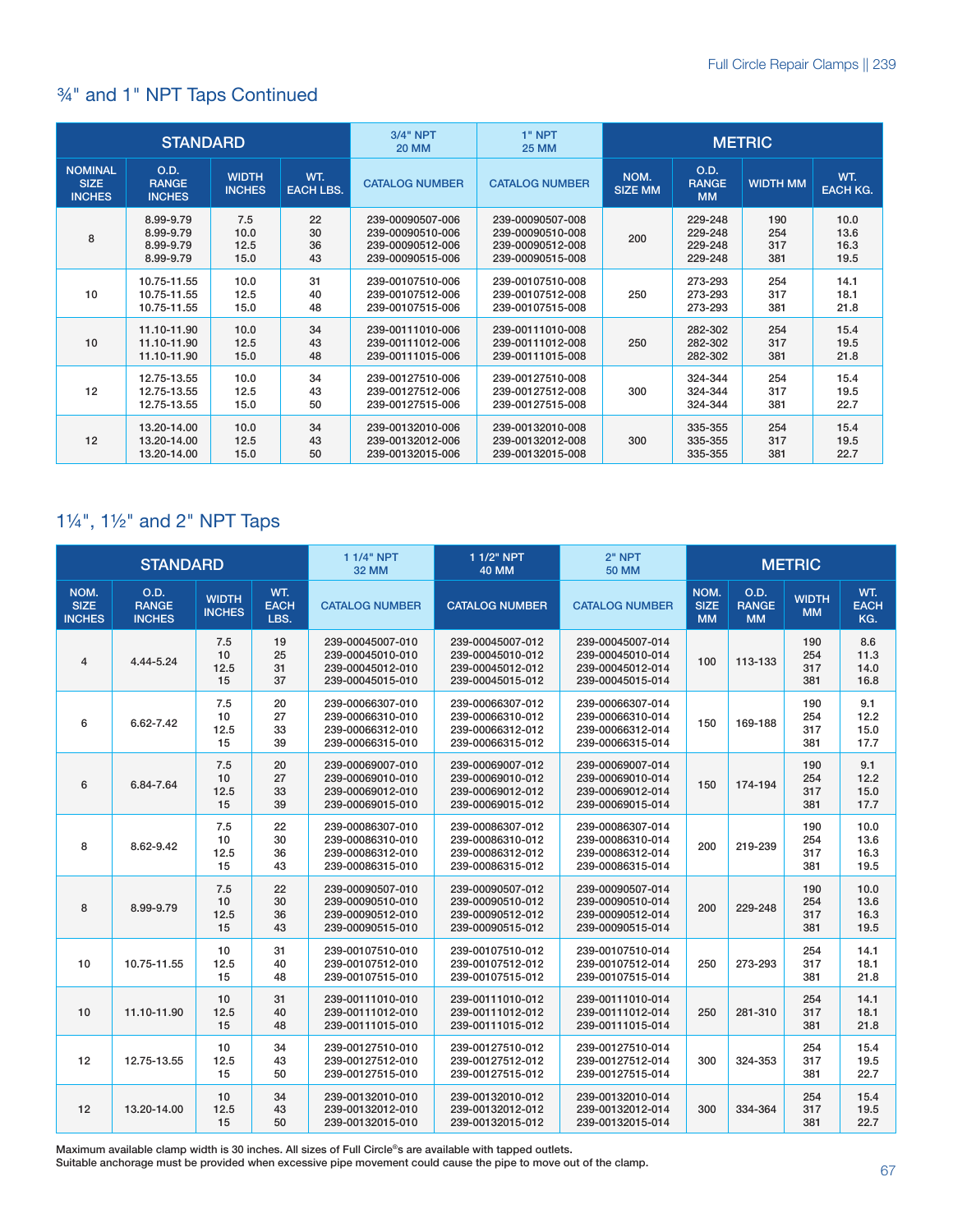### ¾" and 1" NPT Taps Continued

|                                                                                                                                                     | <b>STANDARD</b>                                  |                             |                       | <b>3/4" NPT</b><br><b>20 MM</b>                                                | $1"$ NPT<br><b>25 MM</b>                                                     | <b>METRIC</b>          |                                          |                          |                              |
|-----------------------------------------------------------------------------------------------------------------------------------------------------|--------------------------------------------------|-----------------------------|-----------------------|--------------------------------------------------------------------------------|------------------------------------------------------------------------------|------------------------|------------------------------------------|--------------------------|------------------------------|
| <b>NOMINAL</b><br>O.D.<br><b>WIDTH</b><br>WT.<br><b>SIZE</b><br><b>RANGE</b><br><b>EACH LBS.</b><br><b>INCHES</b><br><b>INCHES</b><br><b>INCHES</b> |                                                  | <b>CATALOG NUMBER</b>       | <b>CATALOG NUMBER</b> | O.D.<br>NOM.<br><b>RANGE</b><br><b>WIDTH MM</b><br><b>SIZE MM</b><br><b>MM</b> |                                                                              | WT.<br><b>EACH KG.</b> |                                          |                          |                              |
| 8                                                                                                                                                   | 8.99-9.79<br>8.99-9.79<br>8.99-9.79<br>8.99-9.79 | 7.5<br>10.0<br>12.5<br>15.0 | 22<br>30<br>36<br>43  | 239-00090507-006<br>239-00090510-006<br>239-00090512-006<br>239-00090515-006   | 239-00090507-008<br>239-00090510-008<br>239-00090512-008<br>239-00090515-008 | 200                    | 229-248<br>229-248<br>229-248<br>229-248 | 190<br>254<br>317<br>381 | 10.0<br>13.6<br>16.3<br>19.5 |
| 10                                                                                                                                                  | 10.75-11.55<br>10.75-11.55<br>10.75-11.55        | 10.0<br>12.5<br>15.0        | 31<br>40<br>48        | 239-00107510-006<br>239-00107512-006<br>239-00107515-006                       | 239-00107510-008<br>239-00107512-008<br>239-00107515-008                     | 250                    | 273-293<br>273-293<br>273-293            | 254<br>317<br>381        | 14.1<br>18.1<br>21.8         |
| 10                                                                                                                                                  | 11.10-11.90<br>11.10-11.90<br>11.10-11.90        | 10.0<br>12.5<br>15.0        | 34<br>43<br>48        | 239-00111010-006<br>239-00111012-006<br>239-00111015-006                       | 239-00111010-008<br>239-00111012-008<br>239-00111015-008                     | 250                    | 282-302<br>282-302<br>282-302            | 254<br>317<br>381        | 15.4<br>19.5<br>21.8         |
| 12                                                                                                                                                  | 12.75-13.55<br>12.75-13.55<br>12.75-13.55        | 10.0<br>12.5<br>15.0        | 34<br>43<br>50        | 239-00127510-006<br>239-00127512-006<br>239-00127515-006                       | 239-00127510-008<br>239-00127512-008<br>239-00127515-008                     | 300                    | 324-344<br>324-344<br>324-344            | 254<br>317<br>381        | 15.4<br>19.5<br>22.7         |
| 12                                                                                                                                                  | 13.20-14.00<br>13.20-14.00<br>13.20-14.00        | 10.0<br>12.5<br>15.0        | 34<br>43<br>50        | 239-00132010-006<br>239-00132012-006<br>239-00132015-006                       | 239-00132010-008<br>239-00132012-008<br>239-00132015-008                     | 300                    | 335-355<br>335-355<br>335-355            | 254<br>317<br>381        | 15.4<br>19.5<br>22.7         |

### 1¼", 1½" and 2" NPT Taps

|                                      | <b>STANDARD</b>                              |                               |                            | 1 1/4" NPT<br><b>32 MM</b>                                                   | 1 1/2" NPT<br><b>40 MM</b>                                                   | $2"$ NPT<br><b>50 MM</b>                                                     | <b>METRIC</b>                    |                                          |                           |                              |
|--------------------------------------|----------------------------------------------|-------------------------------|----------------------------|------------------------------------------------------------------------------|------------------------------------------------------------------------------|------------------------------------------------------------------------------|----------------------------------|------------------------------------------|---------------------------|------------------------------|
| NOM.<br><b>SIZE</b><br><b>INCHES</b> | <b>O.D.</b><br><b>RANGE</b><br><b>INCHES</b> | <b>WIDTH</b><br><b>INCHES</b> | WT.<br><b>EACH</b><br>LBS. | <b>CATALOG NUMBER</b>                                                        | <b>CATALOG NUMBER</b>                                                        | <b>CATALOG NUMBER</b>                                                        | NOM.<br><b>SIZE</b><br><b>MM</b> | <b>O.D.</b><br><b>RANGE</b><br><b>MM</b> | <b>WIDTH</b><br><b>MM</b> | WT.<br><b>EACH</b><br>KG.    |
| $\overline{4}$                       | 4.44-5.24                                    | 7.5<br>10<br>12.5<br>15       | 19<br>25<br>31<br>37       | 239-00045007-010<br>239-00045010-010<br>239-00045012-010<br>239-00045015-010 | 239-00045007-012<br>239-00045010-012<br>239-00045012-012<br>239-00045015-012 | 239-00045007-014<br>239-00045010-014<br>239-00045012-014<br>239-00045015-014 | 100                              | 113-133                                  | 190<br>254<br>317<br>381  | 8.6<br>11.3<br>14.0<br>16.8  |
| 6                                    | 6.62-7.42                                    | 7.5<br>10<br>12.5<br>15       | 20<br>27<br>33<br>39       | 239-00066307-010<br>239-00066310-010<br>239-00066312-010<br>239-00066315-010 | 239-00066307-012<br>239-00066310-012<br>239-00066312-012<br>239-00066315-012 | 239-00066307-014<br>239-00066310-014<br>239-00066312-014<br>239-00066315-014 | 150                              | 169-188                                  | 190<br>254<br>317<br>381  | 9.1<br>12.2<br>15.0<br>17.7  |
| $6\phantom{1}6$                      | 6.84-7.64                                    | 7.5<br>10<br>12.5<br>15       | 20<br>27<br>33<br>39       | 239-00069007-010<br>239-00069010-010<br>239-00069012-010<br>239-00069015-010 | 239-00069007-012<br>239-00069010-012<br>239-00069012-012<br>239-00069015-012 | 239-00069007-014<br>239-00069010-014<br>239-00069012-014<br>239-00069015-014 | 150                              | 174-194                                  | 190<br>254<br>317<br>381  | 9.1<br>12.2<br>15.0<br>17.7  |
| 8                                    | 8.62-9.42                                    | 7.5<br>10<br>12.5<br>15       | 22<br>30<br>36<br>43       | 239-00086307-010<br>239-00086310-010<br>239-00086312-010<br>239-00086315-010 | 239-00086307-012<br>239-00086310-012<br>239-00086312-012<br>239-00086315-012 | 239-00086307-014<br>239-00086310-014<br>239-00086312-014<br>239-00086315-014 | 200                              | 219-239                                  | 190<br>254<br>317<br>381  | 10.0<br>13.6<br>16.3<br>19.5 |
| 8                                    | 8.99-9.79                                    | 7.5<br>10<br>12.5<br>15       | 22<br>30<br>36<br>43       | 239-00090507-010<br>239-00090510-010<br>239-00090512-010<br>239-00090515-010 | 239-00090507-012<br>239-00090510-012<br>239-00090512-012<br>239-00090515-012 | 239-00090507-014<br>239-00090510-014<br>239-00090512-014<br>239-00090515-014 | 200                              | 229-248                                  | 190<br>254<br>317<br>381  | 10.0<br>13.6<br>16.3<br>19.5 |
| 10                                   | 10.75-11.55                                  | 10<br>12.5<br>15              | 31<br>40<br>48             | 239-00107510-010<br>239-00107512-010<br>239-00107515-010                     | 239-00107510-012<br>239-00107512-012<br>239-00107515-012                     | 239-00107510-014<br>239-00107512-014<br>239-00107515-014                     | 250                              | 273-293                                  | 254<br>317<br>381         | 14.1<br>18.1<br>21.8         |
| 10                                   | 11.10-11.90                                  | 10<br>12.5<br>15              | 31<br>40<br>48             | 239-00111010-010<br>239-00111012-010<br>239-00111015-010                     | 239-00111010-012<br>239-00111012-012<br>239-00111015-012                     | 239-00111010-014<br>239-00111012-014<br>239-00111015-014                     | 250                              | 281-310                                  | 254<br>317<br>381         | 14.1<br>18.1<br>21.8         |
| 12                                   | 12.75-13.55                                  | 10<br>12.5<br>15              | 34<br>43<br>50             | 239-00127510-010<br>239-00127512-010<br>239-00127515-010                     | 239-00127510-012<br>239-00127512-012<br>239-00127515-012                     | 239-00127510-014<br>239-00127512-014<br>239-00127515-014                     | 300                              | 324-353                                  | 254<br>317<br>381         | 15.4<br>19.5<br>22.7         |
| 12                                   | 13.20-14.00                                  | 10<br>12.5<br>15              | 34<br>43<br>50             | 239-00132010-010<br>239-00132012-010<br>239-00132015-010                     | 239-00132010-012<br>239-00132012-012<br>239-00132015-012                     | 239-00132010-014<br>239-00132012-014<br>239-00132015-014                     | 300                              | 334-364                                  | 254<br>317<br>381         | 15.4<br>19.5<br>22.7         |

Maximum available clamp width is 30 inches. All sizes of Full Circle®s are available with tapped outlets.

Suitable anchorage must be provided when excessive pipe movement could cause the pipe to move out of the clamp.